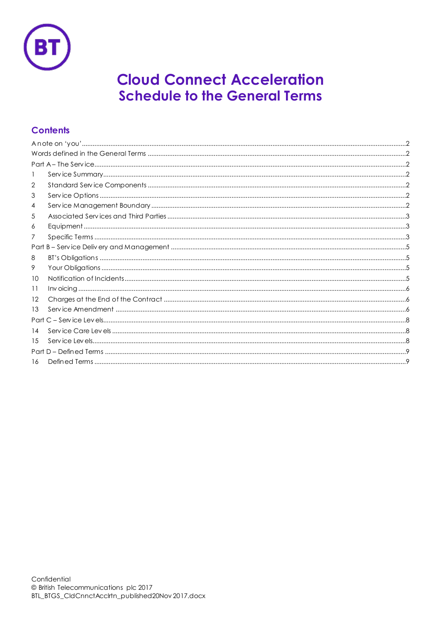

# **Cloud Connect Acceleration Schedule to the General Terms**

## **Contents**

| 1  |  |  |  |
|----|--|--|--|
| 2  |  |  |  |
| 3  |  |  |  |
| 4  |  |  |  |
| 5  |  |  |  |
| 6  |  |  |  |
| 7  |  |  |  |
|    |  |  |  |
| 8  |  |  |  |
| 9  |  |  |  |
| 10 |  |  |  |
| 11 |  |  |  |
| 12 |  |  |  |
| 13 |  |  |  |
|    |  |  |  |
| 14 |  |  |  |
| 15 |  |  |  |
|    |  |  |  |
| 16 |  |  |  |
|    |  |  |  |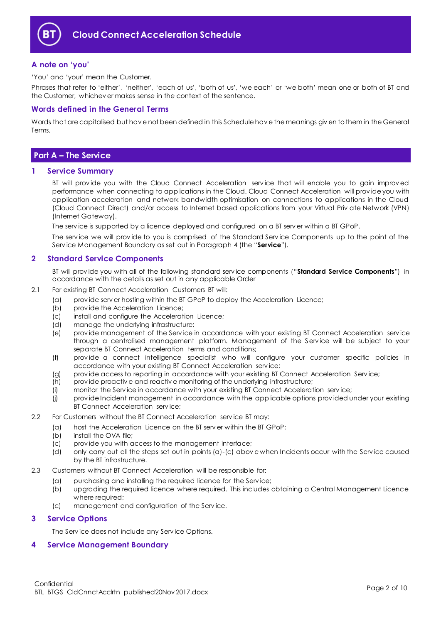

## <span id="page-1-0"></span>**A note on 'you'**

'You' and 'your' mean the Customer.

Phrases that refer to 'either', 'neither', 'each of us', 'both of us', 'we each' or 'we both' mean one or both of BT and the Customer, whichev er makes sense in the context of the sentence.

## <span id="page-1-1"></span>**Words defined in the General Terms**

Words that are capitalised but hav e not been defined in this Schedule hav e the meanings giv en to them in the General Terms.

## <span id="page-1-2"></span>**Part A – The Service**

#### <span id="page-1-3"></span>**1 Service Summary**

BT will provide you with the Cloud Connect Acceleration service that will enable you to gain improved performance when connecting to applications in the Cloud. Cloud Connect Acceleration will prov ide you with application acceleration and network bandwidth optimisation on connections to applications in the Cloud (Cloud Connect Direct) and/or access to Internet based applications from your Virtual Priv ate Network (VPN) (Internet Gateway).

The serv ice is supported by a licence deployed and configured on a BT serv er within a BT GPoP.

The serv ice we will prov ide to you is comprised of the Standard Serv ice Components up to the point of the Serv ice Management Boundary as set out in Paragraph [4](#page-1-6) (the "**Service**").

## <span id="page-1-4"></span>**2 Standard Service Components**

BT will prov ide you with all of the following standard serv ice components ("**Standard Service Components**") in accordance with the details as set out in any applicable Order

- 2.1 For existing BT Connect Acceleration Customers BT will:
	- (a) prov ide serv er hosting within the BT GPoP to deploy the Acceleration Licence;
	- (b) prov ide the Acceleration Licence;
	- (c) install and configure the Acceleration Licence;
	- (d) manage the underlying infrastructure;
	- (e) prov ide management of the Serv ice in accordance with your existing BT Connect Acceleration serv ice through a centralised management platform. Management of the Serv ice will be subject to your separate BT Connect Acceleration terms and conditions;
	- (f) prov ide a connect intelligence specialist who will configure your customer specific policies in accordance with your existing BT Connect Acceleration serv ice;
	- (g) prov ide access to reporting in accordance with your existing BT Connect Acceleration Serv ice;
	- (h) prov ide proactiv e and reactiv e monitoring of the underlying infrastructure;
	- (i) monitor the Serv ice in accordance with your existing BT Connect Acceleration serv ice;
	- (j) prov ide Incident management in accordance with the applicable options prov ided under your existing BT Connect Acceleration serv ice;
- 2.2 For Customers without the BT Connect Acceleration serv ice BT may:
	- (a) host the Acceleration Licence on the BT serv er within the BT GPoP;
	- (b) install the OVA file;
	- (c) prov ide you with access to the management interface;
	- (d) only carry out all the steps set out in points (a)-(c) abov e when Incidents occur with the Serv ice caused by the BT infrastructure.
- 2.3 Customers without BT Connect Acceleration will be responsible for:
	- (a) purchasing and installing the required licence for the Serv ice;
	- (b) upgrading the required licence where required. This includes obtaining a Central Management Licence where required;
	- (c) management and configuration of the Serv ice.

#### <span id="page-1-5"></span>**3 Service Options**

The Serv ice does not include any Serv ice Options.

## <span id="page-1-6"></span>**4 Service Management Boundary**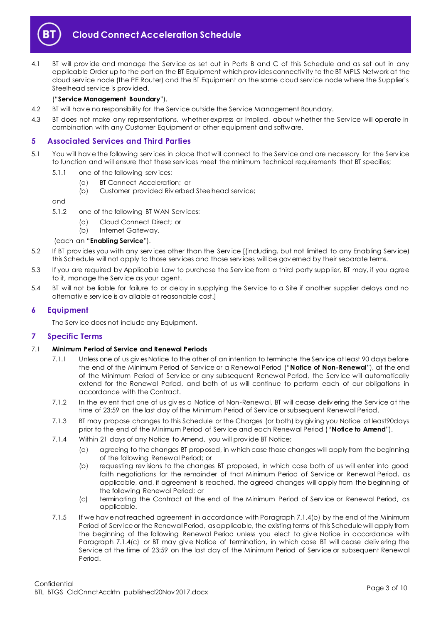

<span id="page-2-8"></span>4.1 BT will provide and manage the Service as set out in Parts B and C of this Schedule and as set out in any applicable Order up to the port on the BT Equipment which prov ides connectiv ity to the BT MPLS Network at the cloud serv ice node (the PE Router) and the BT Equipment on the same cloud serv ice node where the Supplier's Steelhead serv ice is prov ided.

#### ("**Service Management Boundary**").

- 4.2 BT will hav e no responsibility for the Serv ice outside the Serv ice Management Boundary.
- 4.3 BT does not make any representations, whether express or implied, about whether the Service will operate in combination with any Customer Equipment or other equipment and software.

## <span id="page-2-0"></span>**5 Associated Services and Third Parties**

- <span id="page-2-5"></span>5.1 You will hav e the following serv ices in place that will connect to the Serv ice and are necessary for the Serv ice to function and will ensure that these serv ices meet the minimum technical requirements that BT specifies;
	- 5.1.1 one of the following serv ices:
		- (a) BT Connect Acceleration; or
		- (b) Customer prov ided Riv erbed Steelhead serv ice;

and

- 5.1.2 one of the following BT WAN Serv ices:
	- (a) Cloud Connect Direct; or
	- (b) Internet Gateway.

#### (each an "**Enabling Service**").

- 5.2 If BT prov ides you with any serv ices other than the Serv ice [(including, but not limited to any Enabling Serv ice) this Schedule will not apply to those serv ices and those serv ices will be gov erned by their separate terms.
- 5.3 If you are required by Applicable Law to purchase the Serv ice from a third party supplier, BT may, if you agree to it, manage the Serv ice as your agent.
- 5.4 BT will not be liable for failure to or delay in supplying the Serv ice to a Site if another supplier delays and no alternativ e serv ice is av ailable at reasonable cost.]

## <span id="page-2-1"></span>**6 Equipment**

The Serv ice does not include any Equipment.

## <span id="page-2-2"></span>**7 Specific Terms**

#### <span id="page-2-6"></span>7.1 **Minimum Period of Service and Renewal Periods**

- 7.1.1 Unless one of us giv es Notice to the other of an intention to terminate the Serv ice at least 90 days before the end of the Minimum Period of Serv ice or a Renewal Period ("**Notice of Non-Renewal**"), at the end of the Minimum Period of Serv ice or any subsequent Renewal Period, the Serv ice will automatically extend for the Renewal Period, and both of us will continue to perform each of our obligations in accordance with the Contract.
- 7.1.2 In the ev ent that one of us giv es a Notice of Non-Renewal, BT will cease deliv ering the Serv ice at the time of 23:59 on the last day of the Minimum Period of Serv ice or subsequent Renewal Period.
- <span id="page-2-7"></span>7.1.3 BT may propose changes to this Schedule or the Charges (or both) by giv ing you Notice at least90days prior to the end of the Minimum Period of Serv ice and each Renewal Period ("**Notice to Amend**").
- <span id="page-2-3"></span>7.1.4 Within 21 days of any Notice to Amend, you will prov ide BT Notice:
	- (a) agreeing to the changes BT proposed, in which case those changes will apply from the beginning of the following Renewal Period; or
	- (b) requesting rev isions to the changes BT proposed, in which case both of us will enter into good faith negotiations for the remainder of that Minimum Period of Serv ice or Renewal Period, as applicable, and, if agreement is reached, the agreed changes will apply from the beginning of the following Renewal Period; or
	- (c) terminating the Contract at the end of the Minimum Period of Serv ice or Renewal Period, as applicable.
- <span id="page-2-4"></span>7.1.5 If we hav e not reached agreement in accordance with Paragrap[h 7.1.4\(b\)](#page-2-3) by the end of the Minimum Period of Serv ice or the Renewal Period, as applicable, the existing terms of this Schedule will apply from the beginning of the following Renewal Period unless you elect to giv e Notice in accordance with Paragraph [7.1.4\(c\)](#page-2-4) or BT may giv e Notice of termination, in which case BT will cease deliv ering the Serv ice at the time of 23:59 on the last day of the Minimum Period of Serv ice or subsequent Renewal Period.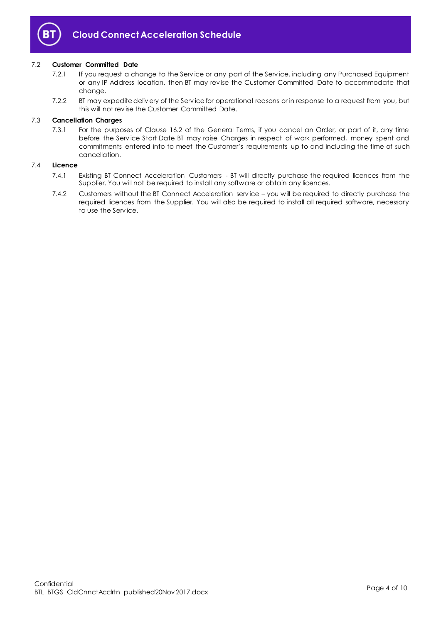

## 7.2 **Customer Committed Date**

- 7.2.1 If you request a change to the Serv ice or any part of the Serv ice, including any Purchased Equipment or any IP Address location, then BT may rev ise the Customer Committed Date to accommodate that change.
- 7.2.2 BT may expedite deliv ery of the Serv ice for operational reasons or in response to a request from you, but this will not rev ise the Customer Committed Date.

## 7.3 **Cancellation Charges**

7.3.1 For the purposes of Clause 16.2 of the General Terms, if you cancel an Order, or part of it, any time before the Serv ice Start Date BT may raise Charges in respect of work performed, money spent and commitments entered into to meet the Customer's requirements up to and including the time of such cancellation.

#### 7.4 **Licence**

- 7.4.1 Existing BT Connect Acceleration Customers BT will directly purchase the required licences from the Supplier. You will not be required to install any software or obtain any licences.
- 7.4.2 Customers without the BT Connect Acceleration serv ice you will be required to directly purchase the required licences from the Supplier. You will also be required to install all required software, necessary to use the Serv ice.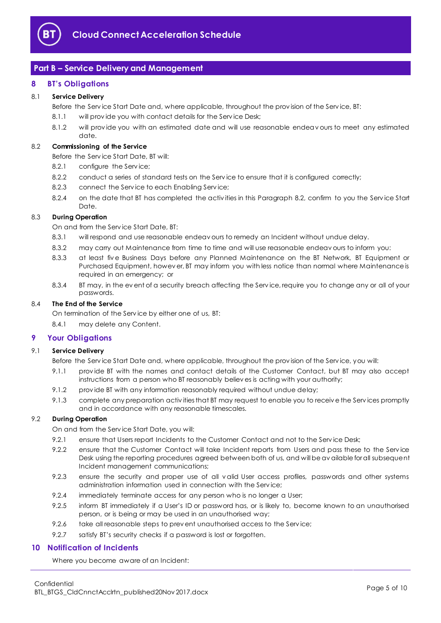

## <span id="page-4-0"></span>**Part B – Service Delivery and Management**

## <span id="page-4-1"></span>**8 BT's Obligations**

## 8.1 **Service Delivery**

Before the Serv ice Start Date and, where applicable, throughout the prov ision of the Serv ice, BT:

- 8.1.1 will provide you with contact details for the Service Desk;
- 8.1.2 will prov ide you with an estimated date and will use reasonable endeav ours to meet any estimated date.

## <span id="page-4-4"></span>8.2 **Commissioning of the Service**

Before the Serv ice Start Date, BT will:

- 8.2.1 configure the Serv ice;
- 8.2.2 conduct a series of standard tests on the Service to ensure that it is configured correctly;
- 8.2.3 connect the Serv ice to each Enabling Serv ice;
- 8.2.4 on the date that BT has completed the activities in this Paragraph [8.2,](#page-4-4) confirm to you the Service Start Date.

## 8.3 **During Operation**

On and from the Serv ice Start Date, BT:

- 8.3.1 will respond and use reasonable endeav ours to remedy an Incident without undue delay.
- 8.3.2 may carry out Maintenance from time to time and will use reasonable endeav ours to inform you:
- 8.3.3 at least fiv e Business Days before any Planned Maintenance on the BT Network, BT Equipment or Purchased Equipment, howev er, BT may inform you with less notice than normal where Maintenance is required in an emergency; or
- 8.3.4 BT may, in the ev ent of a security breach affecting the Service, require you to change any or all of your passwords.

#### 8.4 **The End of the Service**

On termination of the Serv ice by either one of us, BT:

8.4.1 may delete any Content.

## <span id="page-4-2"></span>**9 Your Obligations**

#### 9.1 **Service Delivery**

- Before the Serv ice Start Date and, where applicable, throughout the prov ision of the Serv ice, you will:
- 9.1.1 prov ide BT with the names and contact details of the Customer Contact, but BT may also accept instructions from a person who BT reasonably believ es is acting with your authority;
- 9.1.2 provide BT with any information reasonably required without undue delay;
- 9.1.3 complete any preparation activ ities that BT may request to enable you to receiv e the Serv ices promptly and in accordance with any reasonable timescales.

#### 9.2 **During Operation**

On and from the Serv ice Start Date, you will:

- 9.2.1 ensure that Users report Incidents to the Customer Contact and not to the Service Desk;
- 9.2.2 ensure that the Customer Contact will take Incident reports from Users and pass these to the Service Desk using the reporting procedures agreed between both of us, and will be av ailable for all subsequent Incident management communications;
- 9.2.3 ensure the security and proper use of all v alid User access profiles, passwords and other systems administration information used in connection with the Serv ice;
- 9.2.4 immediately terminate access for any person who is no longer a User;
- 9.2.5 inform BT immediately if a User's ID or password has, or is likely to, become known to an unauthorised person, or is being or may be used in an unauthorised way;
- 9.2.6 take all reasonable steps to prev ent unauthorised access to the Service;
- 9.2.7 satisfy BT's security checks if a password is lost or forgotten.

## <span id="page-4-3"></span>**10 Notification of Incidents**

Where you become aware of an Incident: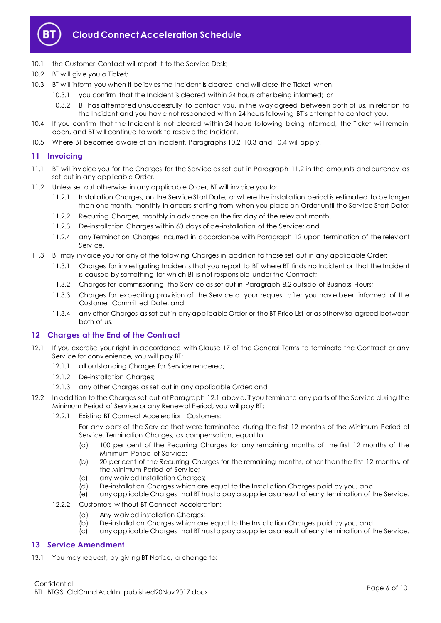

- 10.1 the Customer Contact will report it to the Service Desk;
- <span id="page-5-3"></span>10.2 BT will give you a Ticket;
- <span id="page-5-4"></span>10.3 BT will inform you when it believ es the Incident is cleared and will close the Ticket when:
	- 10.3.1 you confirm that the Incident is cleared within 24 hours after being informed; or
	- 10.3.2 BT has attempted unsuccessfully to contact you, in the way agreed between both of us, in relation to the Incident and you hav e not responded within 24 hours following BT's attempt to contact you.
- <span id="page-5-5"></span>10.4 If you confirm that the Incident is not cleared within 24 hours following being informed, the Ticket will remain open, and BT will continue to work to resolv e the Incident.
- 10.5 Where BT becomes aware of an Incident, Paragraphs [10.2,](#page-5-3) [10.3](#page-5-4) and [10.4](#page-5-5) will apply.

## <span id="page-5-0"></span>**11 Invoicing**

- 11.1 BT will inv oice you for the Charges for the Serv ice as set out in Paragraph [11.2](#page-5-6) in the amounts and currency as set out in any applicable Order.
- <span id="page-5-6"></span>11.2 Unless set out otherwise in any applicable Order, BT will inv oice you for:
	- 11.2.1 Installation Charges, on the Serv ice Start Date, or where the installation period is estimated to be longer than one month, monthly in arrears starting from when you place an Order until the Serv ice Start Date;
	- 11.2.2 Recurring Charges, monthly in adv ance on the first day of the relev ant month.
	- 11.2.3 De-installation Charges within 60 days of de-installation of the Serv ice; and
	- 11.2.4 any Termination Charges incurred in accordance with Paragraph [12](#page-5-1) upon termination of the relev ant Serv ice.
- 11.3 BT may inv oice you for any of the following Charges in addition to those set out in any applicable Order:
	- 11.3.1 Charges for inv estigating Incidents that you report to BT where BT finds no Incident or that the Incident is caused by something for which BT is not responsible under the Contract;
	- 11.3.2 Charges for commissioning the Serv ice as set out in Paragrap[h 8.2](#page-4-4) outside of Business Hours;
	- 11.3.3 Charges for expediting prov ision of the Serv ice at your request after you hav e been informed of the Customer Committed Date; and
	- 11.3.4 any other Charges as set out in any applicable Order or the BT Price List or as otherwise agreed between both of us.

#### <span id="page-5-1"></span>**12 Charges at the End of the Contract**

- <span id="page-5-7"></span>12.1 If you exercise your right in accordance with Clause 17 of the General Terms to terminate the Contract or any Serv ice for conv enience, you will pay BT:
	- 12.1.1 all outstanding Charges for Serv ice rendered;
	- 12.1.2 De-installation Charges;
	- 12.1.3 any other Charges as set out in any applicable Order; and
- 12.2 In addition to the Charges set out at Paragraph [12.1](#page-5-7) abov e, if you terminate any parts of the Serv ice during the Minimum Period of Serv ice or any Renewal Period, you will pay BT:
	- 12.2.1 Existing BT Connect Acceleration Customers:

For any parts of the Serv ice that were terminated during the first 12 months of the Minimum Period of Serv ice, Termination Charges, as compensation, equal to:

- (a) 100 per cent of the Recurring Charges for any remaining months of the first 12 months of the Minimum Period of Serv ice;
- (b) 20 per cent of the Recurring Charges for the remaining months, other than the first 12 months, of the Minimum Period of Serv ice;
- (c) any waiv ed Installation Charges;
- (d) De-installation Charges which are equal to the Installation Charges paid by you; and
- (e) any applicable Charges that BT has to pay a supplier as a result of early termination of the Serv ice.
- 12.2.2 Customers without BT Connect Acceleration:
	- (a) Any waiv ed installation Charges;
	- (b) De-installation Charges which are equal to the Installation Charges paid by you; and
	- (c) any applicable Charges that BT has to pay a supplier as a result of early termination of the Serv ice.

## <span id="page-5-2"></span>**13 Service Amendment**

<span id="page-5-8"></span>13.1 You may request, by giving BT Notice, a change to: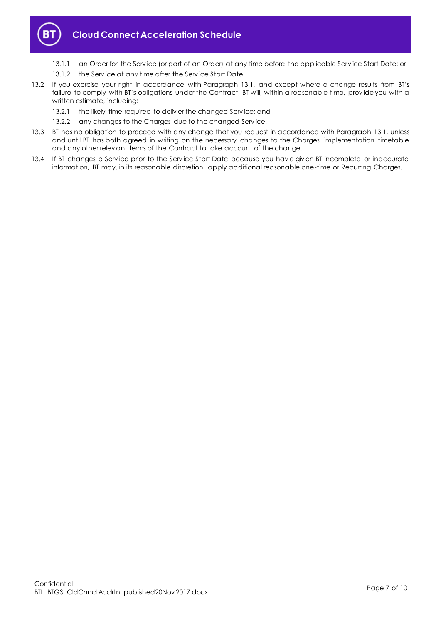

- 13.1.1 an Order for the Serv ice (or part of an Order) at any time before the applicable Serv ice Start Date; or
- 13.1.2 the Service at any time after the Service Start Date.
- 13.2 If you exercise your right in accordance with Paragraph [13.1,](#page-5-8) and except where a change results from BT's failure to comply with BT's obligations under the Contract, BT will, within a reasonable time, prov ide you with a written estimate, including:
	- 13.2.1 the likely time required to deliver the changed Service; and
	- 13.2.2 any changes to the Charges due to the changed Service.
- 13.3 BT has no obligation to proceed with any change that you request in accordance with Paragraph [13.1,](#page-5-8) unless and until BT has both agreed in writing on the necessary changes to the Charges, implementation timetable and any other relev ant terms of the Contract to take account of the change.
- 13.4 If BT changes a Serv ice prior to the Serv ice Start Date because you hav e giv en BT incomplete or inaccurate information, BT may, in its reasonable discretion, apply additional reasonable one-time or Recurring Charges.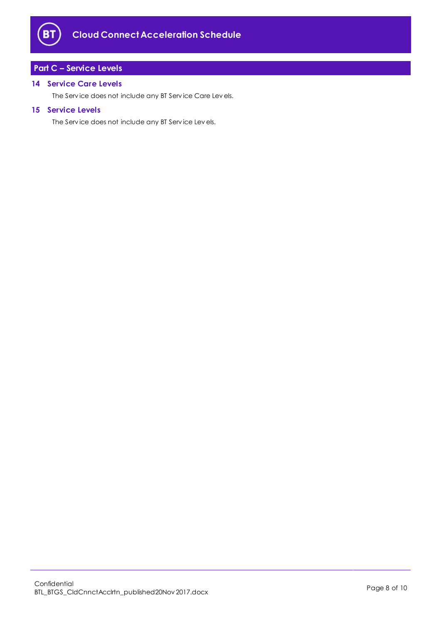

# <span id="page-7-0"></span>**Part C – Service Levels**

## <span id="page-7-1"></span>**14 Service Care Levels**

The Serv ice does not include any BT Serv ice Care Lev els.

## <span id="page-7-2"></span>**15 Service Levels**

The Serv ice does not include any BT Serv ice Lev els.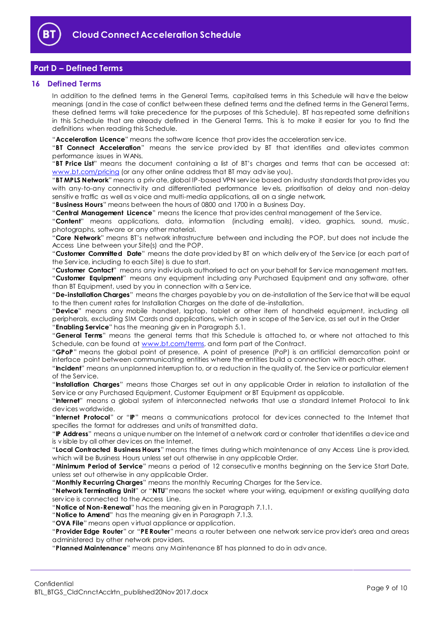

## <span id="page-8-0"></span>**Part D – Defined Terms**

## <span id="page-8-1"></span>**16 Defined Terms**

In addition to the defined terms in the General Terms, capitalised terms in this Schedule will hav e the below meanings (and in the case of conflict between these defined terms and the defined terms in the General Terms, these defined terms will take precedence for the purposes of this Schedule). BT has repeated some definitions in this Schedule that are already defined in the General Terms. This is to make it easier for you to find the definitions when reading this Schedule.

"**Acceleration Licence**" means the software licence that prov ides the acceleration serv ice.

"**BT Connect Acceleration**" means the serv ice prov ided by BT that identifies and allev iates common performance issues in WANs.

"**BT Price List**" means the document containing a list of BT's charges and terms that can be accessed at: [www.bt.com/pricing](http://www.bt.com/pricing) (or any other online address that BT may adv ise you).

"**BT MPLS Network**" means a priv ate, global IP-based VPN serv ice based on industry standards that prov ides you with any-to-any connectiv ity and differentiated performance lev els, prioritisation of delay and non-delay sensitiv e traffic as well as v oice and multi-media applications, all on a single network.

"**Business Hours**" means between the hours of 0800 and 1700 in a Business Day.

"**Central Management Licence**" means the licence that prov ides central management of the Serv ice.

"**Content**" means applications, data, information (including emails), v ideo, graphics, sound, music, photographs, software or any other material.

"**Core Network**" means BT's network infrastructure between and including the POP, but does not include the Access Line between your Site(s) and the POP.

"**Customer Committed Date**" means the date prov ided by BT on which deliv ery of the Serv ice (or each part of the Serv ice, including to each Site) is due to start.

"**Customer Contact**" means any indiv iduals authorised to act on your behalf for Serv ice management matters. "**Customer Equipment**" means any equipment including any Purchased Equipment and any software, other than BT Equipment, used by you in connection with a Serv ice.

"**De-installation Charges**" means the charges payable by you on de-installation of the Serv ice that will be equal to the then current rates for Installation Charges on the date of de-installation.

"**Device**" means any mobile handset, laptop, tablet or other item of handheld equipment, including all peripherals, excluding SIM Cards and applications, which are in scope of the Serv ice, as set out in the Order "**Enabling Service**" has the meaning giv en in Paragrap[h 5.1.](#page-2-5)

"**General Terms**" means the general terms that this Schedule is attached to, or where not attached to this Schedule, can be found at [www.bt.com/terms,](http://www.bt.com/terms) and form part of the Contract.

"**GPoP**" means the global point of presence. A point of presence (PoP) is an artificial demarcation point or interface point between communicating entities where the entities build a connection with each other.

"**Incident**" means an unplanned interruption to, or a reduction in the quality of, the Serv ice or particular element of the Serv ice.

"**Installation Charges**" means those Charges set out in any applicable Order in relation to installation of the Serv ice or any Purchased Equipment, Customer Equipment or BT Equipment as applicable.

"**Internet**" means a global system of interconnected networks that use a standard Internet Protocol to link dev ices worldwide.

"**Internet Protocol**" or "**IP**" means a communications protocol for dev ices connected to the Internet that specifies the format for addresses and units of transmitted data.

"**IP Address**" means a unique number on the Internet of a network card or controller that identifies a dev ice and is v isible by all other dev ices on the Internet.

"**Local Contracted Business Hours**" means the times during which maintenance of any Access Line is prov ided, which will be Business Hours unless set out otherwise in any applicable Order.

"**Minimum Period of Service**" means a period of 12 consecutiv e months beginning on the Serv ice Start Date, unless set out otherwise in any applicable Order.

"**Monthly Recurring Charges**" means the monthly Recurring Charges for the Serv ice.

"**Network Terminating Unit**" or "**NTU**"means the socket where your wiring, equipment or existing qualifying data serv ice is connected to the Access Line.

"**Notice of Non-Renewal**" has the meaning giv en in Paragrap[h 7.1.1.](#page-2-6)

"**Notice to Amend**" has the meaning giv en in Paragraph [7.1.3.](#page-2-7)

"**OVA File**" means open v irtual appliance or application.

"**Provider Edge Router**" or "**PE Router**" means a router between one network serv ice prov ider's area and areas administered by other network prov iders.

"**Planned Maintenance**" means any Maintenance BT has planned to do in adv ance.